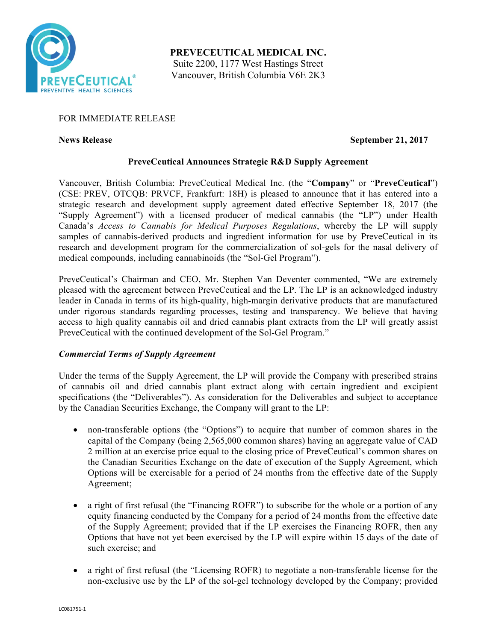

**PREVECEUTICAL MEDICAL INC.** Suite 2200, 1177 West Hastings Street Vancouver, British Columbia V6E 2K3

# FOR IMMEDIATE RELEASE

# **News Release September 21, 2017**

# **PreveCeutical Announces Strategic R&D Supply Agreement**

Vancouver, British Columbia: PreveCeutical Medical Inc. (the "**Company**" or "**PreveCeutical**") (CSE: PREV, OTCQB: PRVCF, Frankfurt: 18H) is pleased to announce that it has entered into a strategic research and development supply agreement dated effective September 18, 2017 (the "Supply Agreement") with a licensed producer of medical cannabis (the "LP") under Health Canada's *Access to Cannabis for Medical Purposes Regulations*, whereby the LP will supply samples of cannabis-derived products and ingredient information for use by PreveCeutical in its research and development program for the commercialization of sol-gels for the nasal delivery of medical compounds, including cannabinoids (the "Sol-Gel Program").

PreveCeutical's Chairman and CEO, Mr. Stephen Van Deventer commented, "We are extremely pleased with the agreement between PreveCeutical and the LP. The LP is an acknowledged industry leader in Canada in terms of its high-quality, high-margin derivative products that are manufactured under rigorous standards regarding processes, testing and transparency. We believe that having access to high quality cannabis oil and dried cannabis plant extracts from the LP will greatly assist PreveCeutical with the continued development of the Sol-Gel Program."

# *Commercial Terms of Supply Agreement*

Under the terms of the Supply Agreement, the LP will provide the Company with prescribed strains of cannabis oil and dried cannabis plant extract along with certain ingredient and excipient specifications (the "Deliverables"). As consideration for the Deliverables and subject to acceptance by the Canadian Securities Exchange, the Company will grant to the LP:

- non-transferable options (the "Options") to acquire that number of common shares in the capital of the Company (being 2,565,000 common shares) having an aggregate value of CAD 2 million at an exercise price equal to the closing price of PreveCeutical's common shares on the Canadian Securities Exchange on the date of execution of the Supply Agreement, which Options will be exercisable for a period of 24 months from the effective date of the Supply Agreement;
- a right of first refusal (the "Financing ROFR") to subscribe for the whole or a portion of any equity financing conducted by the Company for a period of 24 months from the effective date of the Supply Agreement; provided that if the LP exercises the Financing ROFR, then any Options that have not yet been exercised by the LP will expire within 15 days of the date of such exercise; and
- a right of first refusal (the "Licensing ROFR) to negotiate a non-transferable license for the non-exclusive use by the LP of the sol-gel technology developed by the Company; provided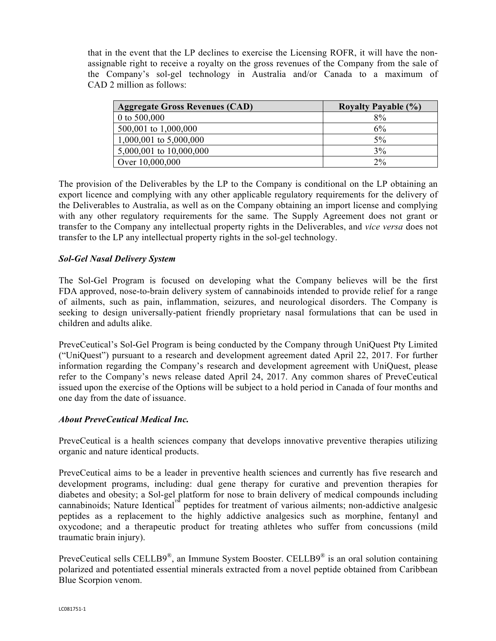that in the event that the LP declines to exercise the Licensing ROFR, it will have the nonassignable right to receive a royalty on the gross revenues of the Company from the sale of the Company's sol-gel technology in Australia and/or Canada to a maximum of CAD 2 million as follows:

| <b>Aggregate Gross Revenues (CAD)</b> | <b>Royalty Payable (%)</b> |
|---------------------------------------|----------------------------|
| 0 to $500,000$                        | 8%                         |
| 500,001 to 1,000,000                  | 6%                         |
| 1,000,001 to 5,000,000                | 5%                         |
| 5,000,001 to 10,000,000               | 3%                         |
| Over 10,000,000                       | $2\%$                      |

The provision of the Deliverables by the LP to the Company is conditional on the LP obtaining an export licence and complying with any other applicable regulatory requirements for the delivery of the Deliverables to Australia, as well as on the Company obtaining an import license and complying with any other regulatory requirements for the same. The Supply Agreement does not grant or transfer to the Company any intellectual property rights in the Deliverables, and *vice versa* does not transfer to the LP any intellectual property rights in the sol-gel technology.

# *Sol-Gel Nasal Delivery System*

The Sol-Gel Program is focused on developing what the Company believes will be the first FDA approved, nose-to-brain delivery system of cannabinoids intended to provide relief for a range of ailments, such as pain, inflammation, seizures, and neurological disorders. The Company is seeking to design universally-patient friendly proprietary nasal formulations that can be used in children and adults alike.

PreveCeutical's Sol-Gel Program is being conducted by the Company through UniQuest Pty Limited ("UniQuest") pursuant to a research and development agreement dated April 22, 2017. For further information regarding the Company's research and development agreement with UniQuest, please refer to the Company's news release dated April 24, 2017. Any common shares of PreveCeutical issued upon the exercise of the Options will be subject to a hold period in Canada of four months and one day from the date of issuance.

### *About PreveCeutical Medical Inc.*

PreveCeutical is a health sciences company that develops innovative preventive therapies utilizing organic and nature identical products.

PreveCeutical aims to be a leader in preventive health sciences and currently has five research and development programs, including: dual gene therapy for curative and prevention therapies for diabetes and obesity; a Sol-gel platform for nose to brain delivery of medical compounds including cannabinoids; Nature Identical™ peptides for treatment of various ailments; non-addictive analgesic peptides as a replacement to the highly addictive analgesics such as morphine, fentanyl and oxycodone; and a therapeutic product for treating athletes who suffer from concussions (mild traumatic brain injury).

PreveCeutical sells CELLB9®, an Immune System Booster. CELLB9® is an oral solution containing polarized and potentiated essential minerals extracted from a novel peptide obtained from Caribbean Blue Scorpion venom.